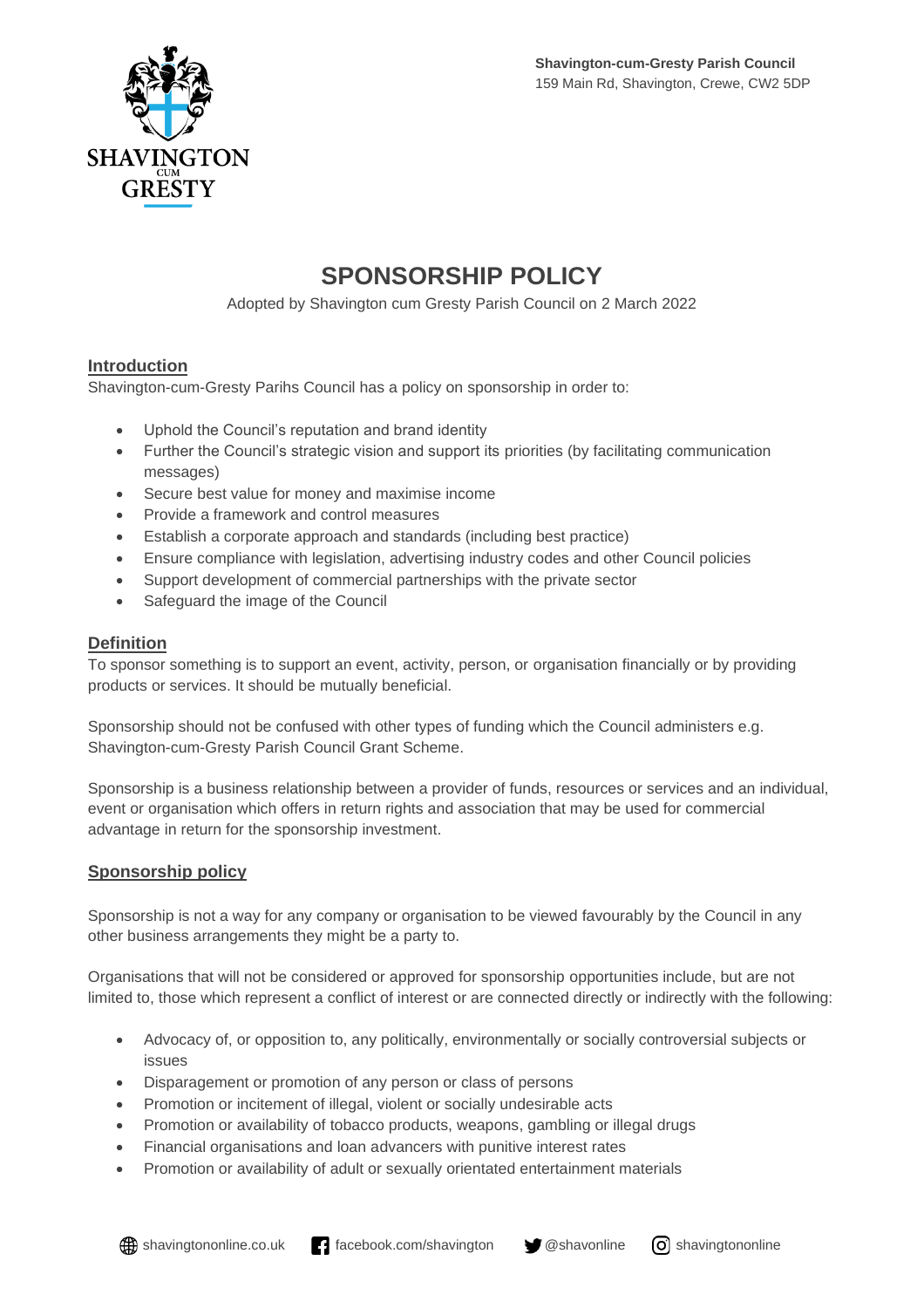

## **SPONSORSHIP POLICY**

Adopted by Shavington cum Gresty Parish Council on 2 March 2022

## **Introduction**

Shavington-cum-Gresty Parihs Council has a policy on sponsorship in order to:

- Uphold the Council's reputation and brand identity
- Further the Council's strategic vision and support its priorities (by facilitating communication messages)
- Secure best value for money and maximise income
- Provide a framework and control measures
- Establish a corporate approach and standards (including best practice)
- Ensure compliance with legislation, advertising industry codes and other Council policies
- Support development of commercial partnerships with the private sector
- Safeguard the image of the Council

## **Definition**

To sponsor something is to support an event, activity, person, or organisation financially or by providing products or services. It should be mutually beneficial.

Sponsorship should not be confused with other types of funding which the Council administers e.g. Shavington-cum-Gresty Parish Council Grant Scheme.

Sponsorship is a business relationship between a provider of funds, resources or services and an individual, event or organisation which offers in return rights and association that may be used for commercial advantage in return for the sponsorship investment.

## **Sponsorship policy**

Sponsorship is not a way for any company or organisation to be viewed favourably by the Council in any other business arrangements they might be a party to.

Organisations that will not be considered or approved for sponsorship opportunities include, but are not limited to, those which represent a conflict of interest or are connected directly or indirectly with the following:

- Advocacy of, or opposition to, any politically, environmentally or socially controversial subjects or issues
- Disparagement or promotion of any person or class of persons
- Promotion or incitement of illegal, violent or socially undesirable acts
- Promotion or availability of tobacco products, weapons, gambling or illegal drugs
- Financial organisations and loan advancers with punitive interest rates
- Promotion or availability of adult or sexually orientated entertainment materials